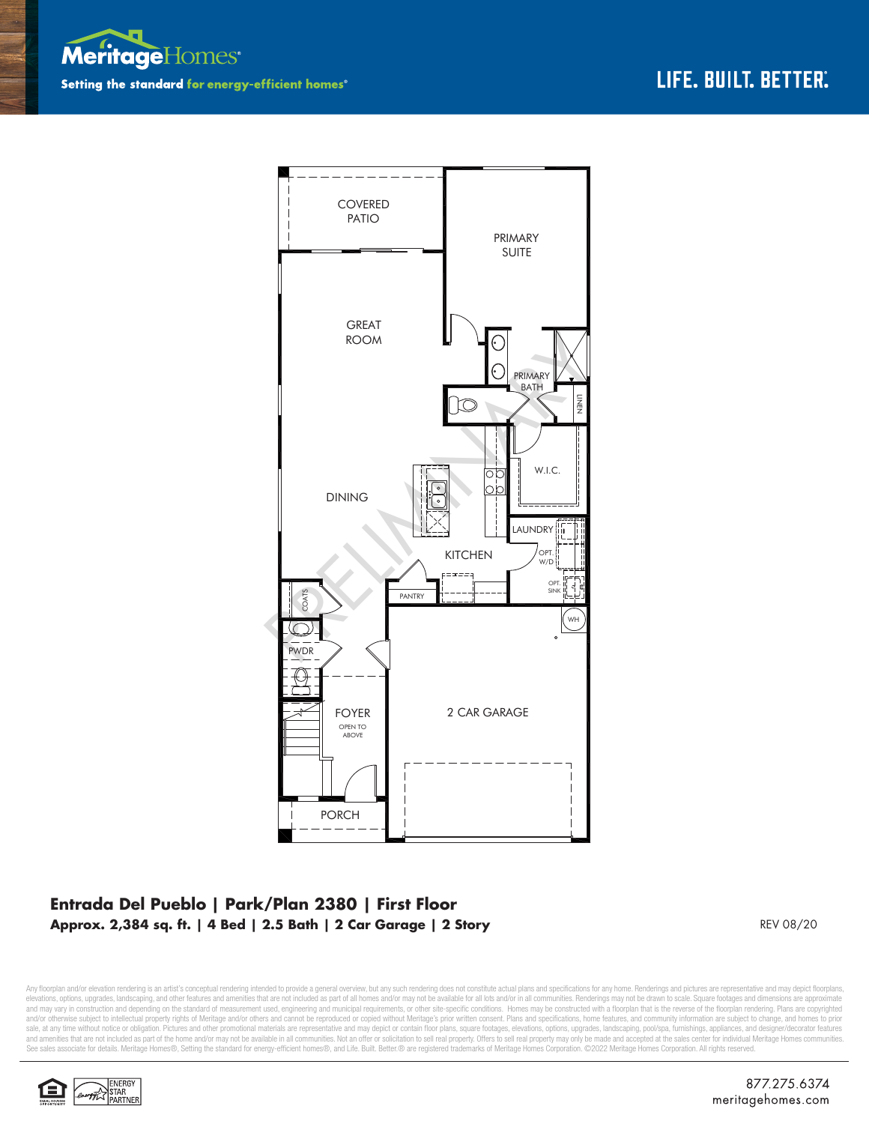



## **Entrada Del Pueblo | Park/Plan 2380 | First Floor Approx. 2,384 sq. ft. | 4 Bed | 2.5 Bath | 2 Car Garage | 2 Story**

REV 08/20

Any floorplan and/or elevation rendering is an artist's conceptual rendering intended to provide a general overview, but any such rendering does not constitute actual plans and specifications for any home. Renderings and p elevations, options, upgrades, landscaping, and other features and amenities that are not included as part of all homes and/or may not be available for all lots and/or in all communities. Renderings may not be drawn to sca and may vary in construction and depending on the standard of measurement used, engineering and municipal requirements, or other site-specific conditions. Homes may be constructed with a floorplan that is the reverse of th and/or otherwise subject to intellectual property rights of Meritage and/or others and cannot be reproduced or copied without Meritage's prior written consent. Plans and specifications, home features, and community informa sale, at any time without notice or obligation. Pictures and other promotional materials are representative and may depict or contain floor plans, square footages, elevations, options, upgrades, landscaping, pool/spa, furn